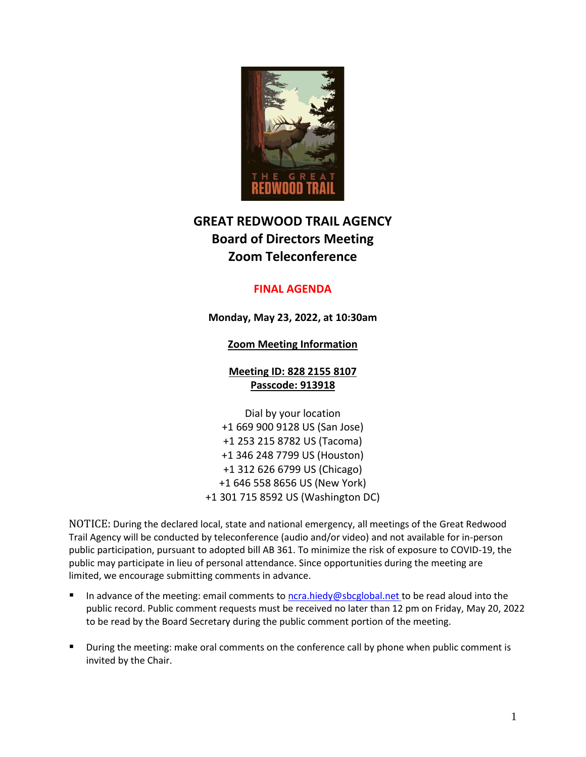

# **GREAT REDWOOD TRAIL AGENCY Board of Directors Meeting Zoom Teleconference**

# **FINAL AGENDA**

**Monday, May 23, 2022, at 10:30am**

# **Zoom Meeting Information**

**Meeting ID: 828 2155 8107 Passcode: 913918**

Dial by your location +1 669 900 9128 US (San Jose) +1 253 215 8782 US (Tacoma) +1 346 248 7799 US (Houston) +1 312 626 6799 US (Chicago) +1 646 558 8656 US (New York) +1 301 715 8592 US (Washington DC)

NOTICE: During the declared local, state and national emergency, all meetings of the Great Redwood Trail Agency will be conducted by teleconference (audio and/or video) and not available for in-person public participation, pursuant to adopted bill AB 361. To minimize the risk of exposure to COVID-19, the public may participate in lieu of personal attendance. Since opportunities during the meeting are limited, we encourage submitting comments in advance.

- In advance of the meeting: email comments to [ncra.hiedy@sbcglobal.net](mailto:ncra.hiedy@sbcglobal.net) to be read aloud into the public record. Public comment requests must be received no later than 12 pm on Friday, May 20, 2022 to be read by the Board Secretary during the public comment portion of the meeting.
- During the meeting: make oral comments on the conference call by phone when public comment is invited by the Chair.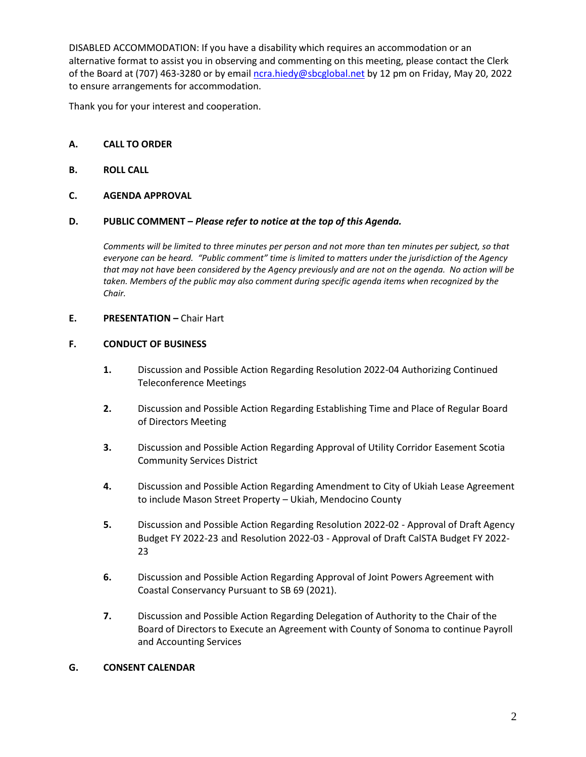DISABLED ACCOMMODATION: If you have a disability which requires an accommodation or an alternative format to assist you in observing and commenting on this meeting, please contact the Clerk of the Board at (707) 463-3280 or by email [ncra.hiedy@sbcglobal.net](mailto:ncra.hiedy@sbcglobal.net) by 12 pm on Friday, May 20, 2022 to ensure arrangements for accommodation.

Thank you for your interest and cooperation.

## **A. CALL TO ORDER**

## **B. ROLL CALL**

## **C. AGENDA APPROVAL**

### **D. PUBLIC COMMENT –** *Please refer to notice at the top of this Agenda.*

*Comments will be limited to three minutes per person and not more than ten minutes per subject, so that everyone can be heard. "Public comment" time is limited to matters under the jurisdiction of the Agency that may not have been considered by the Agency previously and are not on the agenda. No action will be taken. Members of the public may also comment during specific agenda items when recognized by the Chair.*

### **E. PRESENTATION –** Chair Hart

### **F. CONDUCT OF BUSINESS**

- **1.** Discussion and Possible Action Regarding Resolution 2022-04 Authorizing Continued Teleconference Meetings
- **2.** Discussion and Possible Action Regarding Establishing Time and Place of Regular Board of Directors Meeting
- **3.** Discussion and Possible Action Regarding Approval of Utility Corridor Easement Scotia Community Services District
- **4.** Discussion and Possible Action Regarding Amendment to City of Ukiah Lease Agreement to include Mason Street Property – Ukiah, Mendocino County
- **5.** Discussion and Possible Action Regarding Resolution 2022-02 Approval of Draft Agency Budget FY 2022-23 and Resolution 2022-03 - Approval of Draft CalSTA Budget FY 2022- 23
- **6.** Discussion and Possible Action Regarding Approval of Joint Powers Agreement with Coastal Conservancy Pursuant to SB 69 (2021).
- **7.** Discussion and Possible Action Regarding Delegation of Authority to the Chair of the Board of Directors to Execute an Agreement with County of Sonoma to continue Payroll and Accounting Services

## **G. CONSENT CALENDAR**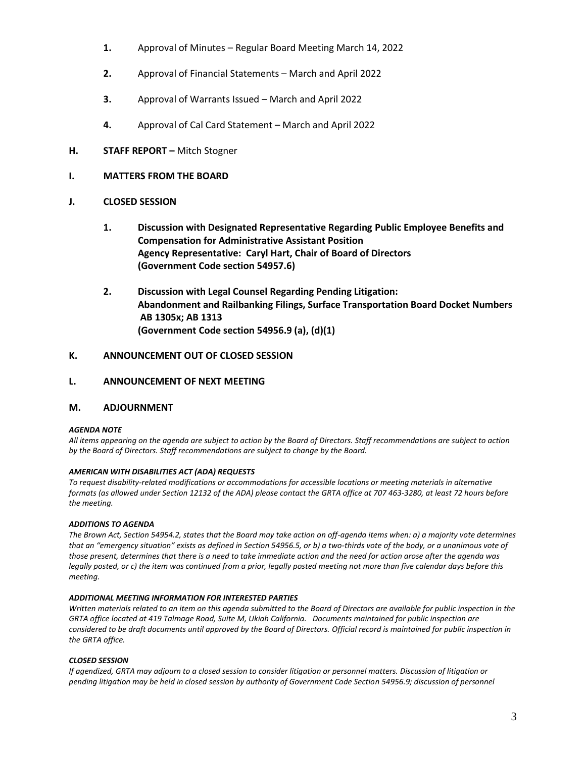- **1.** Approval of Minutes Regular Board Meeting March 14, 2022
- **2.** Approval of Financial Statements March and April 2022
- **3.** Approval of Warrants Issued March and April 2022
- **4.** Approval of Cal Card Statement March and April 2022
- **H. STAFF REPORT –** Mitch Stogner

#### **I. MATTERS FROM THE BOARD**

- **J. CLOSED SESSION**
	- **1. Discussion with Designated Representative Regarding Public Employee Benefits and Compensation for Administrative Assistant Position Agency Representative: Caryl Hart, Chair of Board of Directors (Government Code section 54957.6)**
	- **2. Discussion with Legal Counsel Regarding Pending Litigation: Abandonment and Railbanking Filings, Surface Transportation Board Docket Numbers AB 1305x; AB 1313 (Government Code section 54956.9 (a), (d)(1)**

### **K. ANNOUNCEMENT OUT OF CLOSED SESSION**

#### **L. ANNOUNCEMENT OF NEXT MEETING**

#### **M. ADJOURNMENT**

#### *AGENDA NOTE*

*All items appearing on the agenda are subject to action by the Board of Directors. Staff recommendations are subject to action by the Board of Directors. Staff recommendations are subject to change by the Board.*

#### *AMERICAN WITH DISABILITIES ACT (ADA) REQUESTS*

*To request disability-related modifications or accommodations for accessible locations or meeting materials in alternative formats (as allowed under Section 12132 of the ADA) please contact the GRTA office at 707 463-3280, at least 72 hours before the meeting.*

#### *ADDITIONS TO AGENDA*

*The Brown Act, Section 54954.2, states that the Board may take action on off-agenda items when: a) a majority vote determines that an "emergency situation" exists as defined in Section 54956.5, or b) a two-thirds vote of the body, or a unanimous vote of those present, determines that there is a need to take immediate action and the need for action arose after the agenda was legally posted, or c) the item was continued from a prior, legally posted meeting not more than five calendar days before this meeting.*

#### *ADDITIONAL MEETING INFORMATION FOR INTERESTED PARTIES*

*Written materials related to an item on this agenda submitted to the Board of Directors are available for public inspection in the GRTA office located at 419 Talmage Road, Suite M, Ukiah California. Documents maintained for public inspection are considered to be draft documents until approved by the Board of Directors. Official record is maintained for public inspection in the GRTA office.*

#### *CLOSED SESSION*

*If agendized, GRTA may adjourn to a closed session to consider litigation or personnel matters. Discussion of litigation or pending litigation may be held in closed session by authority of Government Code Section 54956.9; discussion of personnel*